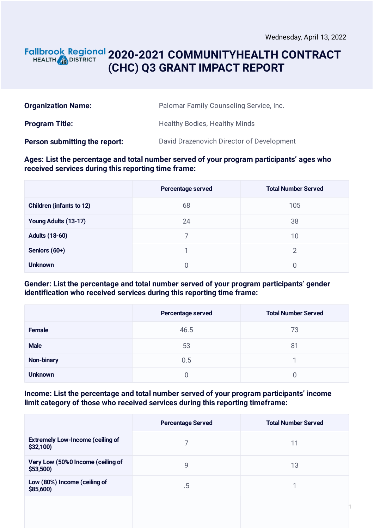1

# **2020-2021 COMMUNITYHEALTH CONTRACT** HEALTH **AND DISTRICT (CHC) Q3 GRANT IMPACT REPORT**

| <b>Organization Name:</b>     | Palomar Family Counseling Service, Inc.   |
|-------------------------------|-------------------------------------------|
| <b>Program Title:</b>         | <b>Healthy Bodies, Healthy Minds</b>      |
| Person submitting the report: | David Drazenovich Director of Development |

#### **Ages: List the percentage and total number served of your program participants' ages who received services during this reporting time frame:**

|                                 | Percentage served | <b>Total Number Served</b> |
|---------------------------------|-------------------|----------------------------|
| <b>Children (infants to 12)</b> | 68                | 105                        |
| Young Adults (13-17)            | 24                | 38                         |
| <b>Adults (18-60)</b>           |                   | 10                         |
| Seniors (60+)                   |                   | 2                          |
| <b>Unknown</b>                  | O                 |                            |

### **Gender: List the percentage and total number served of your program participants' gender identification who received services during this reporting time frame:**

|                   | Percentage served | <b>Total Number Served</b> |
|-------------------|-------------------|----------------------------|
| Female            | 46.5              | 73                         |
| <b>Male</b>       | 53                | 81                         |
| <b>Non-binary</b> | 0.5               |                            |
| <b>Unknown</b>    |                   |                            |

#### **Income: List the percentage and total number served of your program participants' income limit category of those who received services during this reporting timeframe:**

|                                                     | <b>Percentage Served</b> | <b>Total Number Served</b> |
|-----------------------------------------------------|--------------------------|----------------------------|
| <b>Extremely Low-Income (ceiling of</b><br>\$32,100 |                          | 11                         |
| Very Low (50%0 Income (ceiling of<br>$$53,500$ )    | 9                        | 13                         |
| Low (80%) Income (ceiling of<br>\$85,600)           | $.5\,$                   |                            |
|                                                     |                          |                            |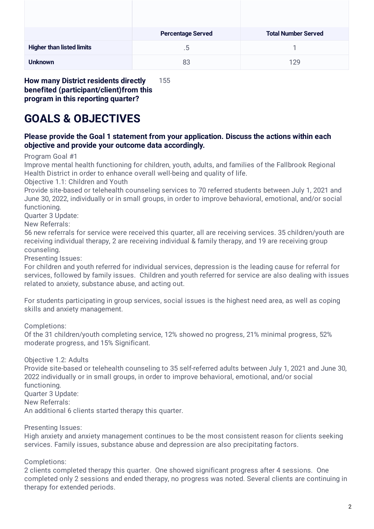|                                  | <b>Percentage Served</b> | <b>Total Number Served</b> |
|----------------------------------|--------------------------|----------------------------|
| <b>Higher than listed limits</b> | $.5\,$                   |                            |
| <b>Unknown</b>                   | 83                       | 129                        |

**How many District residents directly benefited (participant/client)from this program in this reporting quarter?** 155

# **GOALS & OBJECTIVES**

### **Please provide the Goal 1 statement from your application. Discuss the actions within each objective and provide your outcome data accordingly.**

Program Goal #1

Improve mental health functioning for children, youth, adults, and families of the Fallbrook Regional Health District in order to enhance overall well-being and quality of life.

Objective 1.1: Children and Youth

Provide site-based or telehealth counseling services to 70 referred students between July 1, 2021 and June 30, 2022, individually or in small groups, in order to improve behavioral, emotional, and/or social functioning.

Quarter 3 Update:

New Referrals:

56 new referrals for service were received this quarter, all are receiving services. 35 children/youth are receiving individual therapy, 2 are receiving individual & family therapy, and 19 are receiving group counseling.

Presenting Issues:

For children and youth referred for individual services, depression is the leading cause for referral for services, followed by family issues. Children and youth referred for service are also dealing with issues related to anxiety, substance abuse, and acting out.

For students participating in group services, social issues is the highest need area, as well as coping skills and anxiety management.

Completions:

Of the 31 children/youth completing service, 12% showed no progress, 21% minimal progress, 52% moderate progress, and 15% Significant.

Objective 1.2: Adults

Provide site-based or telehealth counseling to 35 self-referred adults between July 1, 2021 and June 30, 2022 individually or in small groups, in order to improve behavioral, emotional, and/or social functioning. Quarter 3 Update: New Referrals: An additional 6 clients started therapy this quarter.

Presenting Issues:

High anxiety and anxiety management continues to be the most consistent reason for clients seeking services. Family issues, substance abuse and depression are also precipitating factors.

Completions:

2 clients completed therapy this quarter. One showed significant progress after 4 sessions. One completed only 2 sessions and ended therapy, no progress was noted. Several clients are continuing in therapy for extended periods.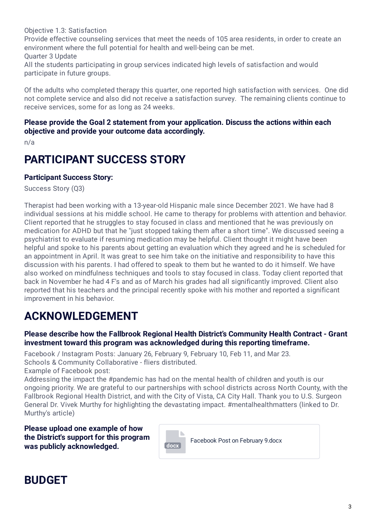Objective 1.3: Satisfaction

Provide effective counseling services that meet the needs of 105 area residents, in order to create an environment where the full potential for health and well-being can be met. Quarter 3 Update

All the students participating in group services indicated high levels of satisfaction and would participate in future groups.

Of the adults who completed therapy this quarter, one reported high satisfaction with services. One did not complete service and also did not receive a satisfaction survey. The remaining clients continue to receive services, some for as long as 24 weeks.

#### **Please provide the Goal 2 statement from your application. Discuss the actions within each objective and provide your outcome data accordingly.**

n/a

# **PARTICIPANT SUCCESS STORY**

## **Participant Success Story:**

Success Story (Q3)

Therapist had been working with a 13-year-old Hispanic male since December 2021. We have had 8 individual sessions at his middle school. He came to therapy for problems with attention and behavior. Client reported that he struggles to stay focused in class and mentioned that he was previously on medication for ADHD but that he "just stopped taking them after a short time". We discussed seeing a psychiatrist to evaluate if resuming medication may be helpful. Client thought it might have been helpful and spoke to his parents about getting an evaluation which they agreed and he is scheduled for an appointment in April. It was great to see him take on the initiative and responsibility to have this discussion with his parents. I had offered to speak to them but he wanted to do it himself. We have also worked on mindfulness techniques and tools to stay focused in class. Today client reported that back in November he had 4 F's and as of March his grades had all significantly improved. Client also reported that his teachers and the principal recently spoke with his mother and reported a significant improvement in his behavior.

# **ACKNOWLEDGEMENT**

### **Please describe how the Fallbrook Regional Health District's Community Health Contract - Grant investment toward this program was acknowledged during this reporting timeframe.**

Facebook / Instagram Posts: January 26, February 9, February 10, Feb 11, and Mar 23. Schools & Community Collaborative - fliers distributed.

Example of Facebook post:

Addressing the impact the #pandemic has had on the mental health of children and youth is our ongoing priority. We are grateful to our partnerships with school districts across North County, with the Fallbrook Regional Health District, and with the City of Vista, CA City Hall. Thank you to U.S. Surgeon General Dr. Vivek Murthy for highlighting the devastating impact. #mentalhealthmatters (linked to Dr. Murthy's article)

**Please upload one example of how the District's support for this program was publicly acknowledged. and the set of the set of the set of the set of the set of the set of the set of the set of the set of the set of the set of the set of the set of the set of the set of the set of the set of t** 



# **BUDGET**